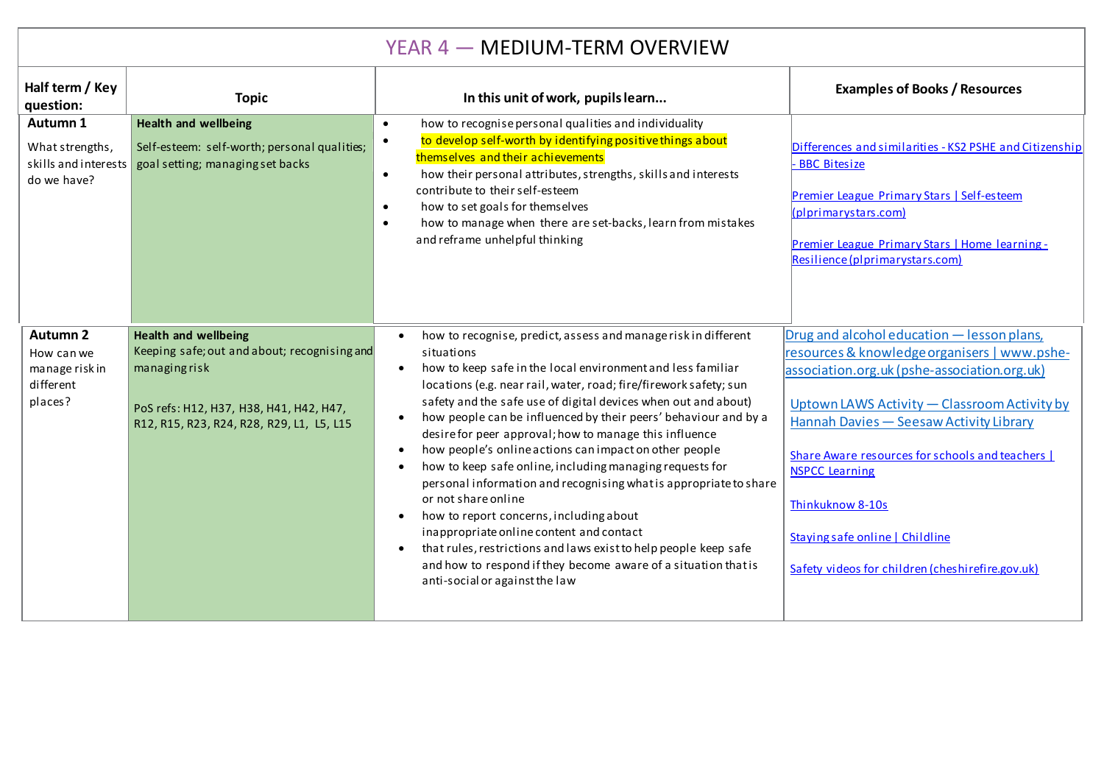## YEAR 4 — MEDIUM-TERM OVERVIEW

| Half term / Key<br>question:<br>Autumn 1<br>What strengths,<br>skills and interests<br>do we have? | <b>Topic</b><br><b>Health and wellbeing</b><br>Self-esteem: self-worth; personal qualities;<br>goal setting; managing set backs                                                     | In this unit of work, pupils learn<br>how to recognise personal qualities and individuality<br>$\bullet$<br>to develop self-worth by identifying positive things about<br>$\bullet$<br>themselves and their achievements<br>how their personal attributes, strengths, skills and interests<br>$\bullet$<br>contribute to their self-esteem<br>how to set goals for themselves<br>$\bullet$<br>how to manage when there are set-backs, learn from mistakes<br>$\bullet$<br>and reframe unhelpful thinking                                                                                                                                                                                                                                                                                                                                                                                                                                                                       | <b>Examples of Books / Resources</b><br>Differences and similarities - KS2 PSHE and Citizenship<br>- BBC Bitesize<br>Premier League Primary Stars   Self-esteem<br>$\left  \text{(plprimarystars.com} \right $<br>Premier League Primary Stars   Home learning -<br>Resilience (plprimarystars.com)                                                                                                                           |
|----------------------------------------------------------------------------------------------------|-------------------------------------------------------------------------------------------------------------------------------------------------------------------------------------|--------------------------------------------------------------------------------------------------------------------------------------------------------------------------------------------------------------------------------------------------------------------------------------------------------------------------------------------------------------------------------------------------------------------------------------------------------------------------------------------------------------------------------------------------------------------------------------------------------------------------------------------------------------------------------------------------------------------------------------------------------------------------------------------------------------------------------------------------------------------------------------------------------------------------------------------------------------------------------|-------------------------------------------------------------------------------------------------------------------------------------------------------------------------------------------------------------------------------------------------------------------------------------------------------------------------------------------------------------------------------------------------------------------------------|
| Autumn 2<br>How can we<br>manage risk in<br>different<br>places?                                   | <b>Health and wellbeing</b><br>Keeping safe; out and about; recognising and<br>managingrisk<br>PoS refs: H12, H37, H38, H41, H42, H47,<br>R12, R15, R23, R24, R28, R29, L1, L5, L15 | how to recognise, predict, assess and manage risk in different<br>situations<br>how to keep safe in the local environment and less familiar<br>$\bullet$<br>locations (e.g. near rail, water, road; fire/firework safety; sun<br>safety and the safe use of digital devices when out and about)<br>how people can be influenced by their peers' behaviour and by a<br>$\bullet$<br>desire for peer approval; how to manage this influence<br>how people's online actions can impact on other people<br>$\bullet$<br>how to keep safe online, including managing requests for<br>$\bullet$<br>personal information and recognising what is appropriate to share<br>or not share online<br>how to report concerns, including about<br>$\bullet$<br>inappropriate online content and contact<br>that rules, restrictions and laws exist to help people keep safe<br>$\bullet$<br>and how to respond if they become aware of a situation that is<br>anti-social or against the law | Drug and alcohol education - lesson plans,<br>resources & knowledge organisers   www.pshe-<br>association.org.uk (pshe-association.org.uk)<br>Uptown LAWS Activity - Classroom Activity by<br>Hannah Davies - Seesaw Activity Library<br>Share Aware resources for schools and teachers  <br><b>NSPCC Learning</b><br>Thinkuknow 8-10s<br>Staying safe online   Childline<br>Safety videos for children (cheshirefire.gov.uk) |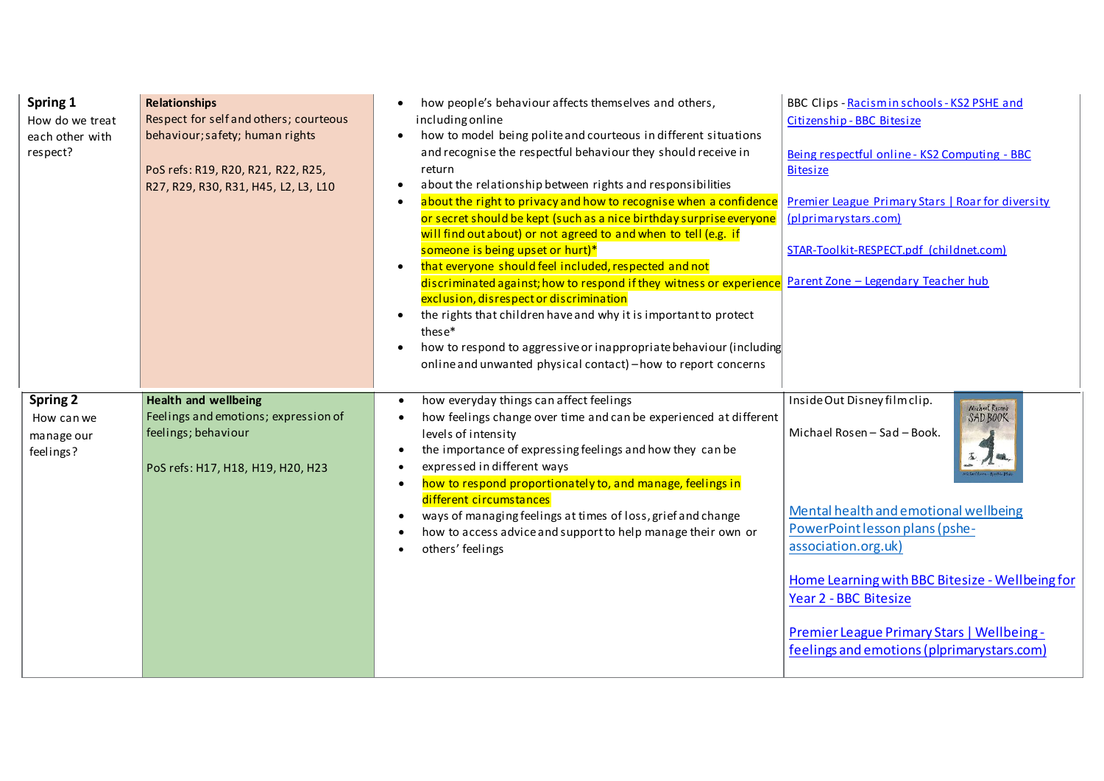| Spring 1<br>How do we treat<br>each other with<br>respect? | <b>Relationships</b><br>Respect for self and others; courteous<br>behaviour; safety; human rights<br>PoS refs: R19, R20, R21, R22, R25,<br>R27, R29, R30, R31, H45, L2, L3, L10 | how people's behaviour affects themselves and others,<br>including online<br>how to model being polite and courteous in different situations<br>and recognise the respectful behaviour they should receive in<br>return<br>about the relationship between rights and responsibilities<br>about the right to privacy and how to recognise when a confidence<br>or secret should be kept (such as a nice birthday surprise everyone<br>will find out about) or not agreed to and when to tell (e.g. if<br>someone is being upset or hurt)*<br>that everyone should feel included, respected and not<br>$\bullet$<br>discriminated against; how to respond if they witness or experience<br>exclusion, disrespect or discrimination<br>the rights that children have and why it is important to protect<br>$\bullet$<br>these*<br>how to respond to aggressive or inappropriate behaviour (including<br>online and unwanted physical contact) - how to report concerns | BBC Clips - Racismin schools - KS2 PSHE and<br>Citizenship - BBC Bitesize<br>Being respectful online - KS2 Computing - BBC<br><b>Bitesize</b><br>Premier League Primary Stars   Roar for diversity<br>(plprimarystars.com)<br>STAR-Toolkit-RESPECT.pdf (childnet.com)<br>Parent Zone - Legendary Teacher hub                                                         |
|------------------------------------------------------------|---------------------------------------------------------------------------------------------------------------------------------------------------------------------------------|---------------------------------------------------------------------------------------------------------------------------------------------------------------------------------------------------------------------------------------------------------------------------------------------------------------------------------------------------------------------------------------------------------------------------------------------------------------------------------------------------------------------------------------------------------------------------------------------------------------------------------------------------------------------------------------------------------------------------------------------------------------------------------------------------------------------------------------------------------------------------------------------------------------------------------------------------------------------|----------------------------------------------------------------------------------------------------------------------------------------------------------------------------------------------------------------------------------------------------------------------------------------------------------------------------------------------------------------------|
| <b>Spring 2</b><br>How can we<br>manage our<br>feelings?   | <b>Health and wellbeing</b><br>Feelings and emotions; expression of<br>feelings; behaviour<br>PoS refs: H17, H18, H19, H20, H23                                                 | how everyday things can affect feelings<br>how feelings change over time and can be experienced at different<br>levels of intensity<br>the importance of expressing feelings and how they can be<br>expressed in different ways<br>how to respond proportionately to, and manage, feelings in<br>different circumstances<br>ways of managing feelings at times of loss, grief and change<br>how to access advice and support to help manage their own or<br>others' feelings                                                                                                                                                                                                                                                                                                                                                                                                                                                                                        | Inside Out Disney film clip.<br>Michael Rosen's<br>SAD BOOK<br>Michael Rosen - Sad - Book.<br>Mental health and emotional wellbeing<br>PowerPoint lesson plans (pshe-<br>association.org.uk)<br>Home Learning with BBC Bitesize - Wellbeing for<br>Year 2 - BBC Bitesize<br>Premier League Primary Stars   Wellbeing -<br>feelings and emotions (plprimarystars.com) |